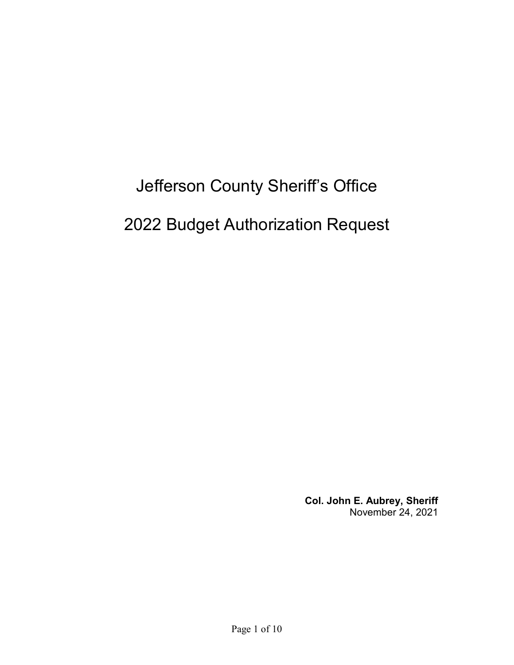# Jefferson County Sheriff's Office 2022 Budget Authorization Request

**Col. John E. Aubrey, Sheriff** November 24, 2021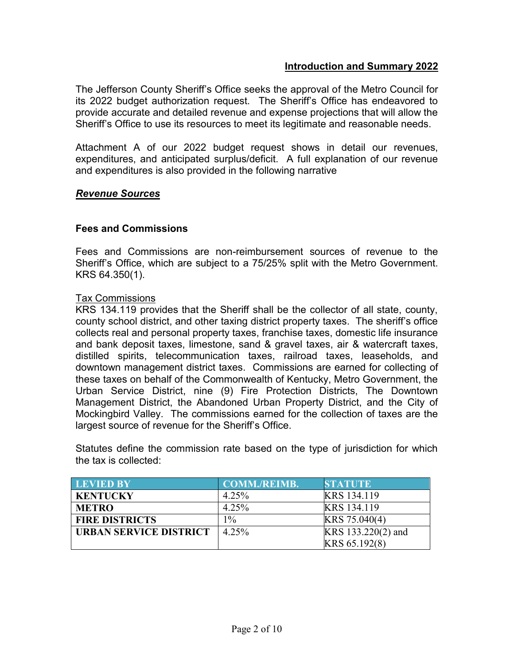# **Introduction and Summary 2022**

The Jefferson County Sheriff's Office seeks the approval of the Metro Council for its 2022 budget authorization request. The Sheriff's Office has endeavored to provide accurate and detailed revenue and expense projections that will allow the Sheriff's Office to use its resources to meet its legitimate and reasonable needs.

Attachment A of our 2022 budget request shows in detail our revenues, expenditures, and anticipated surplus/deficit. A full explanation of our revenue and expenditures is also provided in the following narrative

# *Revenue Sources*

# **Fees and Commissions**

Fees and Commissions are non-reimbursement sources of revenue to the Sheriff's Office, which are subject to a 75/25% split with the Metro Government. KRS 64.350(1).

# Tax Commissions

KRS 134.119 provides that the Sheriff shall be the collector of all state, county, county school district, and other taxing district property taxes. The sheriff's office collects real and personal property taxes, franchise taxes, domestic life insurance and bank deposit taxes, limestone, sand & gravel taxes, air & watercraft taxes, distilled spirits, telecommunication taxes, railroad taxes, leaseholds, and downtown management district taxes. Commissions are earned for collecting of these taxes on behalf of the Commonwealth of Kentucky, Metro Government, the Urban Service District, nine (9) Fire Protection Districts, The Downtown Management District, the Abandoned Urban Property District, and the City of Mockingbird Valley. The commissions earned for the collection of taxes are the largest source of revenue for the Sheriff's Office.

Statutes define the commission rate based on the type of jurisdiction for which the tax is collected:

| <b>LEVIED BY</b>              | <b>COMM./REIMB.</b> | <b>STATUTE</b>     |
|-------------------------------|---------------------|--------------------|
| <b>KENTUCKY</b>               | 4.25%               | KRS 134.119        |
| <b>METRO</b>                  | 4.25%               | KRS 134.119        |
| <b>FIRE DISTRICTS</b>         | $1\%$               | KRS 75.040(4)      |
| <b>URBAN SERVICE DISTRICT</b> | 4.25%               | KRS 133.220(2) and |
|                               |                     | KRS 65.192(8)      |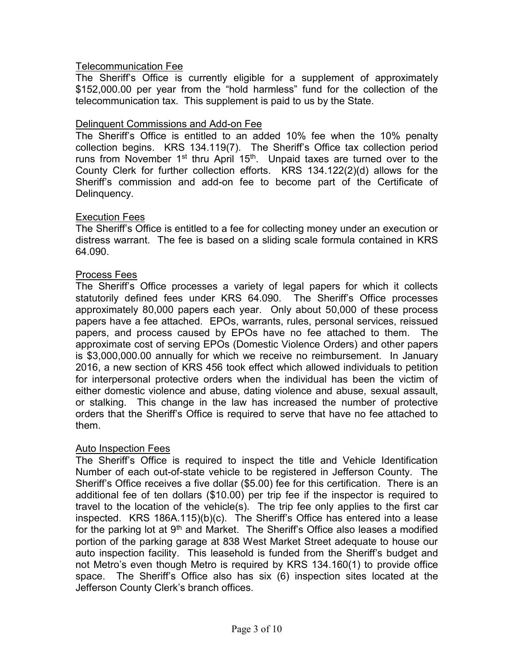# Telecommunication Fee

The Sheriff's Office is currently eligible for a supplement of approximately \$152,000.00 per year from the "hold harmless" fund for the collection of the telecommunication tax. This supplement is paid to us by the State.

# Delinquent Commissions and Add-on Fee

The Sheriff's Office is entitled to an added 10% fee when the 10% penalty collection begins. KRS 134.119(7). The Sheriff's Office tax collection period runs from November  $1^{st}$  thru April  $15^{th}$ . Unpaid taxes are turned over to the County Clerk for further collection efforts. KRS 134.122(2)(d) allows for the Sheriff's commission and add-on fee to become part of the Certificate of Delinquency.

# Execution Fees

The Sheriff's Office is entitled to a fee for collecting money under an execution or distress warrant. The fee is based on a sliding scale formula contained in KRS 64.090.

# Process Fees

The Sheriff's Office processes a variety of legal papers for which it collects statutorily defined fees under KRS 64.090. The Sheriff's Office processes approximately 80,000 papers each year. Only about 50,000 of these process papers have a fee attached. EPOs, warrants, rules, personal services, reissued papers, and process caused by EPOs have no fee attached to them. The approximate cost of serving EPOs (Domestic Violence Orders) and other papers is \$3,000,000.00 annually for which we receive no reimbursement. In January 2016, a new section of KRS 456 took effect which allowed individuals to petition for interpersonal protective orders when the individual has been the victim of either domestic violence and abuse, dating violence and abuse, sexual assault, or stalking. This change in the law has increased the number of protective orders that the Sheriff's Office is required to serve that have no fee attached to them.

# Auto Inspection Fees

The Sheriff's Office is required to inspect the title and Vehicle Identification Number of each out-of-state vehicle to be registered in Jefferson County. The Sheriff's Office receives a five dollar (\$5.00) fee for this certification. There is an additional fee of ten dollars (\$10.00) per trip fee if the inspector is required to travel to the location of the vehicle(s). The trip fee only applies to the first car inspected. KRS 186A.115)(b)(c). The Sheriff's Office has entered into a lease for the parking lot at  $9<sup>th</sup>$  and Market. The Sheriff's Office also leases a modified portion of the parking garage at 838 West Market Street adequate to house our auto inspection facility. This leasehold is funded from the Sheriff's budget and not Metro's even though Metro is required by KRS 134.160(1) to provide office space. The Sheriff's Office also has six (6) inspection sites located at the Jefferson County Clerk's branch offices.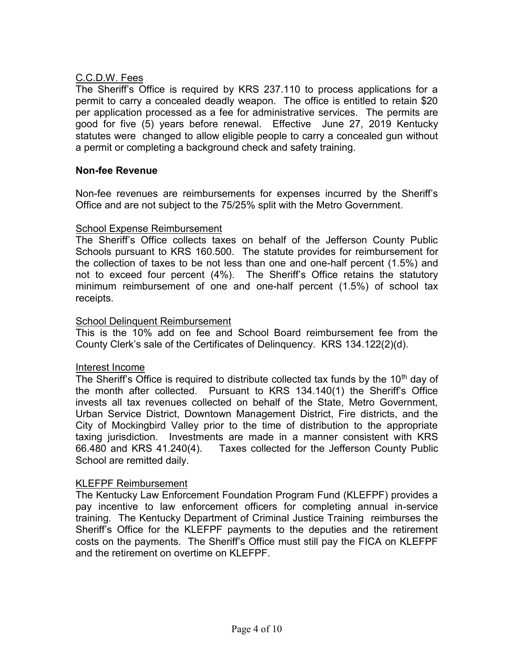# C.C.D.W. Fees

The Sheriff's Office is required by KRS 237.110 to process applications for a permit to carry a concealed deadly weapon. The office is entitled to retain \$20 per application processed as a fee for administrative services. The permits are good for five (5) years before renewal. Effective June 27, 2019 Kentucky statutes were changed to allow eligible people to carry a concealed gun without a permit or completing a background check and safety training.

# **Non-fee Revenue**

Non-fee revenues are reimbursements for expenses incurred by the Sheriff's Office and are not subject to the 75/25% split with the Metro Government.

# School Expense Reimbursement

The Sheriff's Office collects taxes on behalf of the Jefferson County Public Schools pursuant to KRS 160.500. The statute provides for reimbursement for the collection of taxes to be not less than one and one-half percent (1.5%) and not to exceed four percent (4%). The Sheriff's Office retains the statutory minimum reimbursement of one and one-half percent (1.5%) of school tax receipts.

# School Delinquent Reimbursement

This is the 10% add on fee and School Board reimbursement fee from the County Clerk's sale of the Certificates of Delinquency. KRS 134.122(2)(d).

# Interest Income

The Sheriff's Office is required to distribute collected tax funds by the  $10<sup>th</sup>$  day of the month after collected. Pursuant to KRS 134.140(1) the Sheriff's Office invests all tax revenues collected on behalf of the State, Metro Government, Urban Service District, Downtown Management District, Fire districts, and the City of Mockingbird Valley prior to the time of distribution to the appropriate taxing jurisdiction. Investments are made in a manner consistent with KRS 66.480 and KRS 41.240(4). Taxes collected for the Jefferson County Public School are remitted daily.

# KLEFPF Reimbursement

The Kentucky Law Enforcement Foundation Program Fund (KLEFPF) provides a pay incentive to law enforcement officers for completing annual in-service training. The Kentucky Department of Criminal Justice Training reimburses the Sheriff's Office for the KLEFPF payments to the deputies and the retirement costs on the payments. The Sheriff's Office must still pay the FICA on KLEFPF and the retirement on overtime on KLEFPF.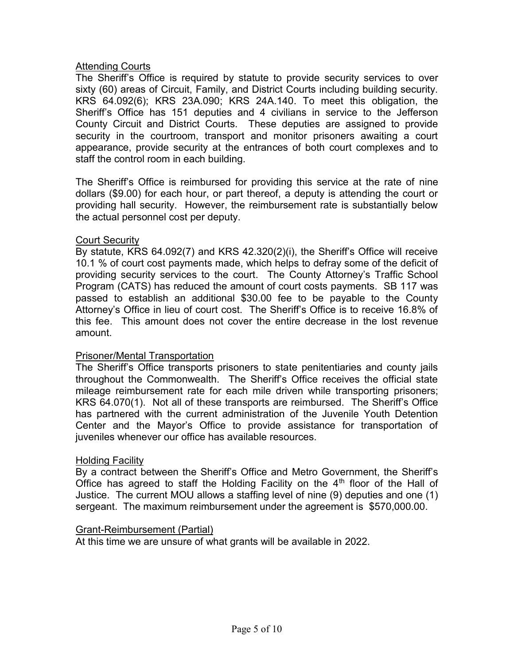# **Attending Courts**

The Sheriff's Office is required by statute to provide security services to over sixty (60) areas of Circuit, Family, and District Courts including building security. KRS 64.092(6); KRS 23A.090; KRS 24A.140. To meet this obligation, the Sheriff's Office has 151 deputies and 4 civilians in service to the Jefferson County Circuit and District Courts. These deputies are assigned to provide security in the courtroom, transport and monitor prisoners awaiting a court appearance, provide security at the entrances of both court complexes and to staff the control room in each building.

The Sheriff's Office is reimbursed for providing this service at the rate of nine dollars (\$9.00) for each hour, or part thereof, a deputy is attending the court or providing hall security. However, the reimbursement rate is substantially below the actual personnel cost per deputy.

# **Court Security**

By statute, KRS 64.092(7) and KRS 42.320(2)(i), the Sheriff's Office will receive 10.1 % of court cost payments made, which helps to defray some of the deficit of providing security services to the court. The County Attorney's Traffic School Program (CATS) has reduced the amount of court costs payments. SB 117 was passed to establish an additional \$30.00 fee to be payable to the County Attorney's Office in lieu of court cost. The Sheriff's Office is to receive 16.8% of this fee. This amount does not cover the entire decrease in the lost revenue amount.

# Prisoner/Mental Transportation

The Sheriff's Office transports prisoners to state penitentiaries and county jails throughout the Commonwealth. The Sheriff's Office receives the official state mileage reimbursement rate for each mile driven while transporting prisoners; KRS 64.070(1). Not all of these transports are reimbursed. The Sheriff's Office has partnered with the current administration of the Juvenile Youth Detention Center and the Mayor's Office to provide assistance for transportation of juveniles whenever our office has available resources.

# Holding Facility

By a contract between the Sheriff's Office and Metro Government, the Sheriff's Office has agreed to staff the Holding Facility on the  $4<sup>th</sup>$  floor of the Hall of Justice. The current MOU allows a staffing level of nine (9) deputies and one (1) sergeant. The maximum reimbursement under the agreement is \$570,000.00.

# Grant-Reimbursement (Partial)

At this time we are unsure of what grants will be available in 2022.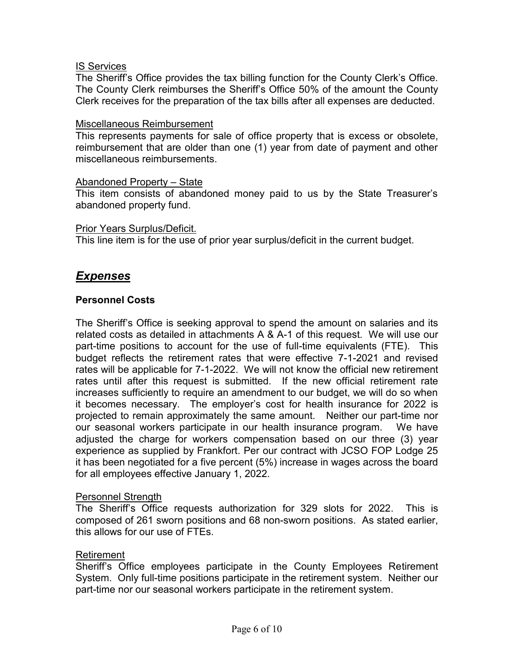# IS Services

The Sheriff's Office provides the tax billing function for the County Clerk's Office. The County Clerk reimburses the Sheriff's Office 50% of the amount the County Clerk receives for the preparation of the tax bills after all expenses are deducted.

## Miscellaneous Reimbursement

This represents payments for sale of office property that is excess or obsolete, reimbursement that are older than one (1) year from date of payment and other miscellaneous reimbursements.

## Abandoned Property – State

This item consists of abandoned money paid to us by the State Treasurer's abandoned property fund.

## Prior Years Surplus/Deficit.

This line item is for the use of prior year surplus/deficit in the current budget.

# *Expenses*

# **Personnel Costs**

The Sheriff's Office is seeking approval to spend the amount on salaries and its related costs as detailed in attachments A & A-1 of this request. We will use our part-time positions to account for the use of full-time equivalents (FTE). This budget reflects the retirement rates that were effective 7-1-2021 and revised rates will be applicable for 7-1-2022. We will not know the official new retirement rates until after this request is submitted. If the new official retirement rate increases sufficiently to require an amendment to our budget, we will do so when it becomes necessary. The employer's cost for health insurance for 2022 is projected to remain approximately the same amount. Neither our part-time nor our seasonal workers participate in our health insurance program. We have adjusted the charge for workers compensation based on our three (3) year experience as supplied by Frankfort. Per our contract with JCSO FOP Lodge 25 it has been negotiated for a five percent (5%) increase in wages across the board for all employees effective January 1, 2022.

## Personnel Strength

The Sheriff's Office requests authorization for 329 slots for 2022. This is composed of 261 sworn positions and 68 non-sworn positions. As stated earlier, this allows for our use of FTEs.

## Retirement

Sheriff's Office employees participate in the County Employees Retirement System. Only full-time positions participate in the retirement system. Neither our part-time nor our seasonal workers participate in the retirement system.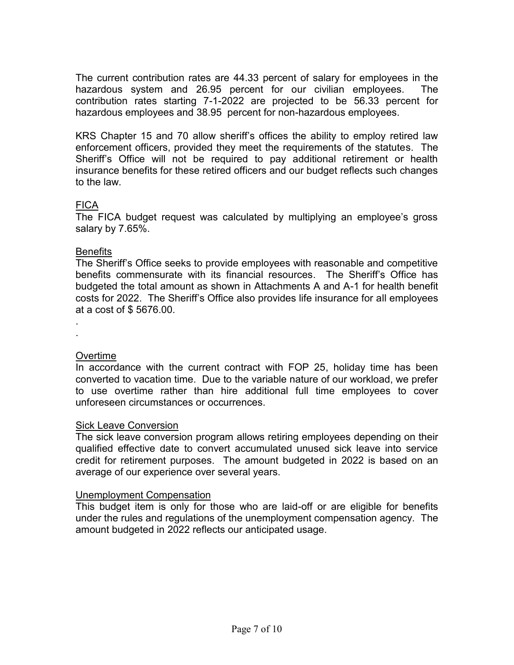The current contribution rates are 44.33 percent of salary for employees in the hazardous system and 26.95 percent for our civilian employees. The contribution rates starting 7-1-2022 are projected to be 56.33 percent for hazardous employees and 38.95 percent for non-hazardous employees.

KRS Chapter 15 and 70 allow sheriff's offices the ability to employ retired law enforcement officers, provided they meet the requirements of the statutes. The Sheriff's Office will not be required to pay additional retirement or health insurance benefits for these retired officers and our budget reflects such changes to the law.

# FICA

The FICA budget request was calculated by multiplying an employee's gross salary by 7.65%.

## Benefits

The Sheriff's Office seeks to provide employees with reasonable and competitive benefits commensurate with its financial resources. The Sheriff's Office has budgeted the total amount as shown in Attachments A and A-1 for health benefit costs for 2022. The Sheriff's Office also provides life insurance for all employees at a cost of \$ 5676.00.

. .

# Overtime

In accordance with the current contract with FOP 25, holiday time has been converted to vacation time. Due to the variable nature of our workload, we prefer to use overtime rather than hire additional full time employees to cover unforeseen circumstances or occurrences.

# Sick Leave Conversion

The sick leave conversion program allows retiring employees depending on their qualified effective date to convert accumulated unused sick leave into service credit for retirement purposes. The amount budgeted in 2022 is based on an average of our experience over several years.

# Unemployment Compensation

This budget item is only for those who are laid-off or are eligible for benefits under the rules and regulations of the unemployment compensation agency. The amount budgeted in 2022 reflects our anticipated usage.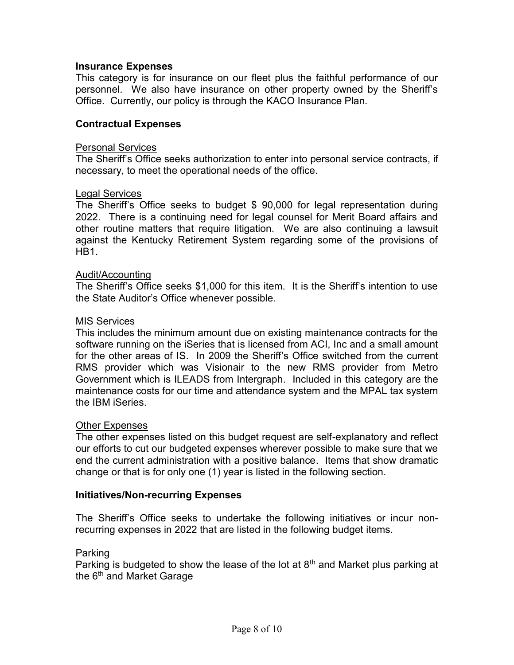## **Insurance Expenses**

This category is for insurance on our fleet plus the faithful performance of our personnel. We also have insurance on other property owned by the Sheriff's Office. Currently, our policy is through the KACO Insurance Plan.

## **Contractual Expenses**

#### Personal Services

The Sheriff's Office seeks authorization to enter into personal service contracts, if necessary, to meet the operational needs of the office.

#### Legal Services

The Sheriff's Office seeks to budget \$ 90,000 for legal representation during 2022. There is a continuing need for legal counsel for Merit Board affairs and other routine matters that require litigation. We are also continuing a lawsuit against the Kentucky Retirement System regarding some of the provisions of HB<sub>1</sub>

#### Audit/Accounting

The Sheriff's Office seeks \$1,000 for this item. It is the Sheriff's intention to use the State Auditor's Office whenever possible.

#### MIS Services

This includes the minimum amount due on existing maintenance contracts for the software running on the iSeries that is licensed from ACI, Inc and a small amount for the other areas of IS. In 2009 the Sheriff's Office switched from the current RMS provider which was Visionair to the new RMS provider from Metro Government which is ILEADS from Intergraph. Included in this category are the maintenance costs for our time and attendance system and the MPAL tax system the IBM iSeries.

## Other Expenses

The other expenses listed on this budget request are self-explanatory and reflect our efforts to cut our budgeted expenses wherever possible to make sure that we end the current administration with a positive balance. Items that show dramatic change or that is for only one (1) year is listed in the following section.

## **Initiatives/Non-recurring Expenses**

The Sheriff's Office seeks to undertake the following initiatives or incur nonrecurring expenses in 2022 that are listed in the following budget items.

#### Parking

Parking is budgeted to show the lease of the lot at  $8<sup>th</sup>$  and Market plus parking at the  $6<sup>th</sup>$  and Market Garage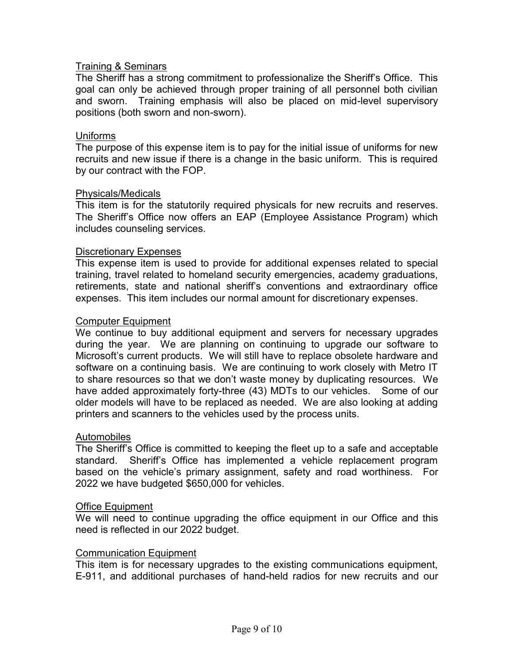# Training & Seminars

The Sheriff has a strong commitment to professionalize the Sheriff's Office. This goal can only be achieved through proper training of all personnel both civilian and sworn. Training emphasis will also be placed on mid-level supervisory positions (both sworn and non-sworn).

## Uniforms

The purpose of this expense item is to pay for the initial issue of uniforms for new recruits and new issue if there is a change in the basic uniform. This is required by our contract with the FOP.

## Physicals/Medicals

This item is for the statutorily required physicals for new recruits and reserves. The Sheriff's Office now offers an EAP (Employee Assistance Program) which includes counseling services.

## Discretionary Expenses

This expense item is used to provide for additional expenses related to special training, travel related to homeland security emergencies, academy graduations, retirements, state and national sheriff's conventions and extraordinary office expenses. This item includes our normal amount for discretionary expenses.

## Computer Equipment

We continue to buy additional equipment and servers for necessary upgrades during the year. We are planning on continuing to upgrade our software to Microsoft's current products. We will still have to replace obsolete hardware and software on a continuing basis. We are continuing to work closely with Metro IT to share resources so that we don't waste money by duplicating resources. We have added approximately forty-three (43) MDTs to our vehicles. Some of our older models will have to be replaced as needed. We are also looking at adding printers and scanners to the vehicles used by the process units.

## Automobiles

The Sheriff's Office is committed to keeping the fleet up to a safe and acceptable standard. Sheriff's Office has implemented a vehicle replacement program based on the vehicle's primary assignment, safety and road worthiness. For 2022 we have budgeted \$650,000 for vehicles.

## Office Equipment

We will need to continue upgrading the office equipment in our Office and this need is reflected in our 2022 budget.

## Communication Equipment

This item is for necessary upgrades to the existing communications equipment, E-911, and additional purchases of hand-held radios for new recruits and our